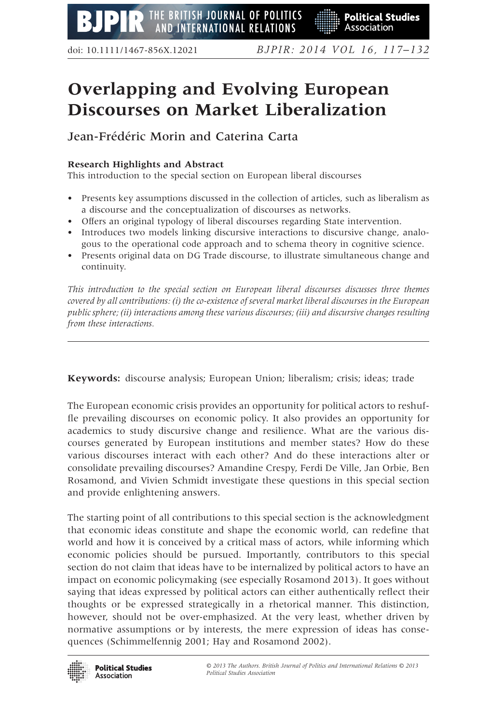doi: 10.1111/1467-856X.12021 *BJPIR: 2014 VOL 16, 117–132*

# **Overlapping and Evolving European Discourses on Market Liberalization**

Jean-Frédéric Morin and Caterina Carta

### **Research Highlights and Abstract**

This introduction to the special section on European liberal discourses

- Presents key assumptions discussed in the collection of articles, such as liberalism as a discourse and the conceptualization of discourses as networks.
- Offers an original typology of liberal discourses regarding State intervention.
- Introduces two models linking discursive interactions to discursive change, analogous to the operational code approach and to schema theory in cognitive science.
- Presents original data on DG Trade discourse, to illustrate simultaneous change and continuity.

*This introduction to the special section on European liberal discourses discusses three themes covered by all contributions: (i) the co-existence of several market liberal discourses in the European public sphere; (ii) interactions among these various discourses; (iii) and discursive changes resulting from these interactions.*

**Keywords:** discourse analysis; European Union; liberalism; crisis; ideas; trade

The European economic crisis provides an opportunity for political actors to reshuffle prevailing discourses on economic policy. It also provides an opportunity for academics to study discursive change and resilience. What are the various discourses generated by European institutions and member states? How do these various discourses interact with each other? And do these interactions alter or consolidate prevailing discourses? Amandine Crespy, Ferdi De Ville, Jan Orbie, Ben Rosamond, and Vivien Schmidt investigate these questions in this special section and provide enlightening answers.

The starting point of all contributions to this special section is the acknowledgment that economic ideas constitute and shape the economic world, can redefine that world and how it is conceived by a critical mass of actors, while informing which economic policies should be pursued. Importantly, contributors to this special section do not claim that ideas have to be internalized by political actors to have an impact on economic policymaking (see especially Rosamond 2013). It goes without saying that ideas expressed by political actors can either authentically reflect their thoughts or be expressed strategically in a rhetorical manner. This distinction, however, should not be over-emphasized. At the very least, whether driven by normative assumptions or by interests, the mere expression of ideas has consequences (Schimmelfennig 2001; Hay and Rosamond 2002).

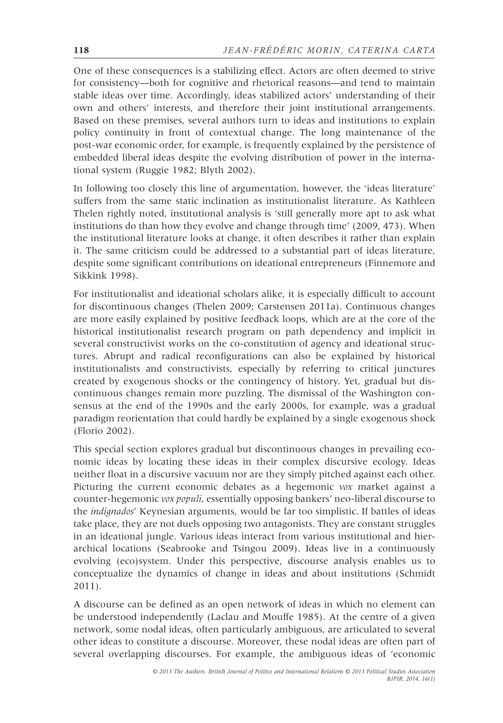One of these consequences is a stabilizing effect. Actors are often deemed to strive for consistency—both for cognitive and rhetorical reasons—and tend to maintain stable ideas over time. Accordingly, ideas stabilized actors' understanding of their own and others' interests, and therefore their joint institutional arrangements. Based on these premises, several authors turn to ideas and institutions to explain policy continuity in front of contextual change. The long maintenance of the post-war economic order, for example, is frequently explained by the persistence of embedded liberal ideas despite the evolving distribution of power in the international system (Ruggie 1982; Blyth 2002).

In following too closely this line of argumentation, however, the 'ideas literature' suffers from the same static inclination as institutionalist literature. As Kathleen Thelen rightly noted, institutional analysis is 'still generally more apt to ask what institutions do than how they evolve and change through time' (2009, 473). When the institutional literature looks at change, it often describes it rather than explain it. The same criticism could be addressed to a substantial part of ideas literature, despite some significant contributions on ideational entrepreneurs (Finnemore and Sikkink 1998).

For institutionalist and ideational scholars alike, it is especially difficult to account for discontinuous changes (Thelen 2009; Carstensen 2011a). Continuous changes are more easily explained by positive feedback loops, which are at the core of the historical institutionalist research program on path dependency and implicit in several constructivist works on the co-constitution of agency and ideational structures. Abrupt and radical reconfigurations can also be explained by historical institutionalists and constructivists, especially by referring to critical junctures created by exogenous shocks or the contingency of history. Yet, gradual but discontinuous changes remain more puzzling. The dismissal of the Washington consensus at the end of the 1990s and the early 2000s, for example, was a gradual paradigm reorientation that could hardly be explained by a single exogenous shock (Florio 2002).

This special section explores gradual but discontinuous changes in prevailing economic ideas by locating these ideas in their complex discursive ecology. Ideas neither float in a discursive vacuum nor are they simply pitched against each other. Picturing the current economic debates as a hegemonic *vox* market against a counter-hegemonic *vox populi*, essentially opposing bankers' neo-liberal discourse to the *indignados*' Keynesian arguments, would be far too simplistic. If battles of ideas take place, they are not duels opposing two antagonists. They are constant struggles in an ideational jungle. Various ideas interact from various institutional and hierarchical locations (Seabrooke and Tsingou 2009). Ideas live in a continuously evolving (eco)system. Under this perspective, discourse analysis enables us to conceptualize the dynamics of change in ideas and about institutions (Schmidt 2011).

A discourse can be defined as an open network of ideas in which no element can be understood independently (Laclau and Mouffe 1985). At the centre of a given network, some nodal ideas, often particularly ambiguous, are articulated to several other ideas to constitute a discourse. Moreover, these nodal ideas are often part of several overlapping discourses. For example, the ambiguous ideas of 'economic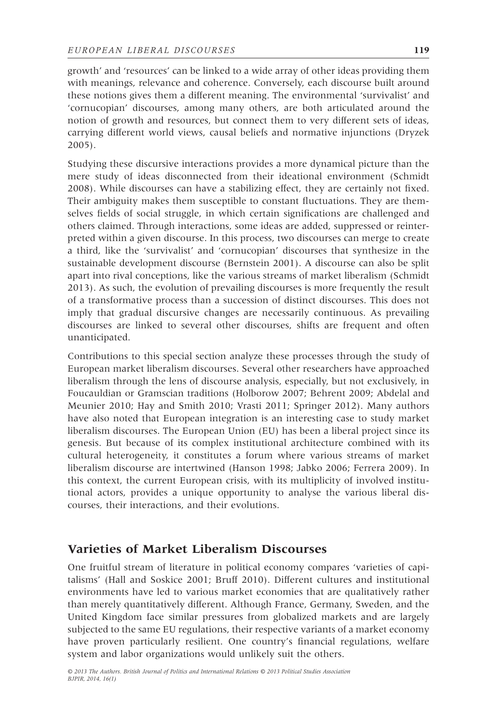growth' and 'resources' can be linked to a wide array of other ideas providing them with meanings, relevance and coherence. Conversely, each discourse built around these notions gives them a different meaning. The environmental 'survivalist' and 'cornucopian' discourses, among many others, are both articulated around the notion of growth and resources, but connect them to very different sets of ideas, carrying different world views, causal beliefs and normative injunctions (Dryzek 2005).

Studying these discursive interactions provides a more dynamical picture than the mere study of ideas disconnected from their ideational environment (Schmidt 2008). While discourses can have a stabilizing effect, they are certainly not fixed. Their ambiguity makes them susceptible to constant fluctuations. They are themselves fields of social struggle, in which certain significations are challenged and others claimed. Through interactions, some ideas are added, suppressed or reinterpreted within a given discourse. In this process, two discourses can merge to create a third, like the 'survivalist' and 'cornucopian' discourses that synthesize in the sustainable development discourse (Bernstein 2001). A discourse can also be split apart into rival conceptions, like the various streams of market liberalism (Schmidt 2013). As such, the evolution of prevailing discourses is more frequently the result of a transformative process than a succession of distinct discourses. This does not imply that gradual discursive changes are necessarily continuous. As prevailing discourses are linked to several other discourses, shifts are frequent and often unanticipated.

Contributions to this special section analyze these processes through the study of European market liberalism discourses. Several other researchers have approached liberalism through the lens of discourse analysis, especially, but not exclusively, in Foucauldian or Gramscian traditions (Holborow 2007; Behrent 2009; Abdelal and Meunier 2010; Hay and Smith 2010; Vrasti 2011; Springer 2012). Many authors have also noted that European integration is an interesting case to study market liberalism discourses. The European Union (EU) has been a liberal project since its genesis. But because of its complex institutional architecture combined with its cultural heterogeneity, it constitutes a forum where various streams of market liberalism discourse are intertwined (Hanson 1998; Jabko 2006; Ferrera 2009). In this context, the current European crisis, with its multiplicity of involved institutional actors, provides a unique opportunity to analyse the various liberal discourses, their interactions, and their evolutions.

#### **Varieties of Market Liberalism Discourses**

One fruitful stream of literature in political economy compares 'varieties of capitalisms' (Hall and Soskice 2001; Bruff 2010). Different cultures and institutional environments have led to various market economies that are qualitatively rather than merely quantitatively different. Although France, Germany, Sweden, and the United Kingdom face similar pressures from globalized markets and are largely subjected to the same EU regulations, their respective variants of a market economy have proven particularly resilient. One country's financial regulations, welfare system and labor organizations would unlikely suit the others.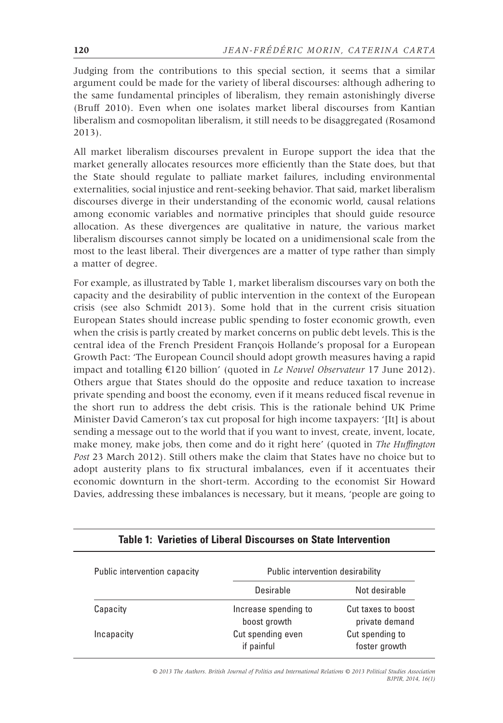Judging from the contributions to this special section, it seems that a similar argument could be made for the variety of liberal discourses: although adhering to the same fundamental principles of liberalism, they remain astonishingly diverse (Bruff 2010). Even when one isolates market liberal discourses from Kantian liberalism and cosmopolitan liberalism, it still needs to be disaggregated (Rosamond 2013).

All market liberalism discourses prevalent in Europe support the idea that the market generally allocates resources more efficiently than the State does, but that the State should regulate to palliate market failures, including environmental externalities, social injustice and rent-seeking behavior. That said, market liberalism discourses diverge in their understanding of the economic world, causal relations among economic variables and normative principles that should guide resource allocation. As these divergences are qualitative in nature, the various market liberalism discourses cannot simply be located on a unidimensional scale from the most to the least liberal. Their divergences are a matter of type rather than simply a matter of degree.

For example, as illustrated by Table 1, market liberalism discourses vary on both the capacity and the desirability of public intervention in the context of the European crisis (see also Schmidt 2013). Some hold that in the current crisis situation European States should increase public spending to foster economic growth, even when the crisis is partly created by market concerns on public debt levels. This is the central idea of the French President François Hollande's proposal for a European Growth Pact: 'The European Council should adopt growth measures having a rapid impact and totalling €120 billion' (quoted in *Le Nouvel Observateur* 17 June 2012). Others argue that States should do the opposite and reduce taxation to increase private spending and boost the economy, even if it means reduced fiscal revenue in the short run to address the debt crisis. This is the rationale behind UK Prime Minister David Cameron's tax cut proposal for high income taxpayers: '[It] is about sending a message out to the world that if you want to invest, create, invent, locate, make money, make jobs, then come and do it right here' (quoted in *The Huffington Post* 23 March 2012). Still others make the claim that States have no choice but to adopt austerity plans to fix structural imbalances, even if it accentuates their economic downturn in the short-term. According to the economist Sir Howard Davies, addressing these imbalances is necessary, but it means, 'people are going to

| Public intervention capacity | Public intervention desirability     |                                      |
|------------------------------|--------------------------------------|--------------------------------------|
|                              | Desirable                            | Not desirable                        |
| Capacity                     | Increase spending to<br>boost growth | Cut taxes to boost<br>private demand |
| Incapacity                   | Cut spending even<br>if painful      | Cut spending to<br>foster growth     |

#### **Table 1: Varieties of Liberal Discourses on State Intervention**

*© 2013 The Authors. British Journal of Politics and International Relations © 2013 Political Studies Association BJPIR, 2014, 16(1)*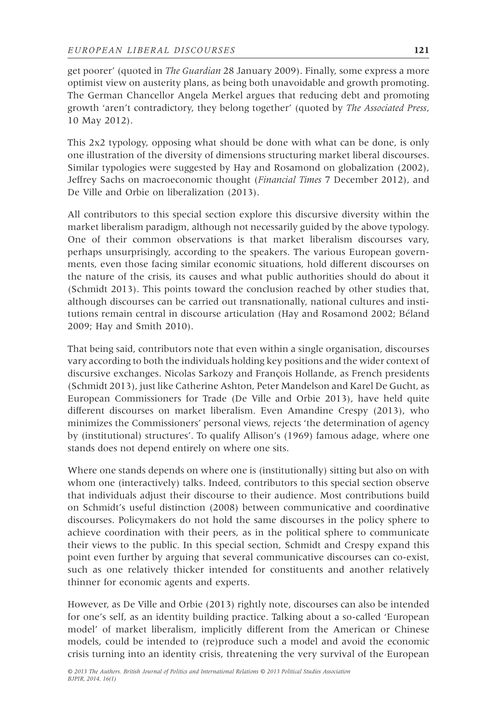get poorer' (quoted in *The Guardian* 28 January 2009). Finally, some express a more optimist view on austerity plans, as being both unavoidable and growth promoting. The German Chancellor Angela Merkel argues that reducing debt and promoting growth 'aren't contradictory, they belong together' (quoted by *The Associated Press*, 10 May 2012).

This 2x2 typology, opposing what should be done with what can be done, is only one illustration of the diversity of dimensions structuring market liberal discourses. Similar typologies were suggested by Hay and Rosamond on globalization (2002), Jeffrey Sachs on macroeconomic thought (*Financial Times* 7 December 2012), and De Ville and Orbie on liberalization (2013).

All contributors to this special section explore this discursive diversity within the market liberalism paradigm, although not necessarily guided by the above typology. One of their common observations is that market liberalism discourses vary, perhaps unsurprisingly, according to the speakers. The various European governments, even those facing similar economic situations, hold different discourses on the nature of the crisis, its causes and what public authorities should do about it (Schmidt 2013). This points toward the conclusion reached by other studies that, although discourses can be carried out transnationally, national cultures and institutions remain central in discourse articulation (Hay and Rosamond 2002; Béland 2009; Hay and Smith 2010).

That being said, contributors note that even within a single organisation, discourses vary according to both the individuals holding key positions and the wider context of discursive exchanges. Nicolas Sarkozy and François Hollande, as French presidents (Schmidt 2013), just like Catherine Ashton, Peter Mandelson and Karel De Gucht, as European Commissioners for Trade (De Ville and Orbie 2013), have held quite different discourses on market liberalism. Even Amandine Crespy (2013), who minimizes the Commissioners' personal views, rejects 'the determination of agency by (institutional) structures'. To qualify Allison's (1969) famous adage, where one stands does not depend entirely on where one sits.

Where one stands depends on where one is (institutionally) sitting but also on with whom one (interactively) talks. Indeed, contributors to this special section observe that individuals adjust their discourse to their audience. Most contributions build on Schmidt's useful distinction (2008) between communicative and coordinative discourses. Policymakers do not hold the same discourses in the policy sphere to achieve coordination with their peers, as in the political sphere to communicate their views to the public. In this special section, Schmidt and Crespy expand this point even further by arguing that several communicative discourses can co-exist, such as one relatively thicker intended for constituents and another relatively thinner for economic agents and experts.

However, as De Ville and Orbie (2013) rightly note, discourses can also be intended for one's self, as an identity building practice. Talking about a so-called 'European model' of market liberalism, implicitly different from the American or Chinese models, could be intended to (re)produce such a model and avoid the economic crisis turning into an identity crisis, threatening the very survival of the European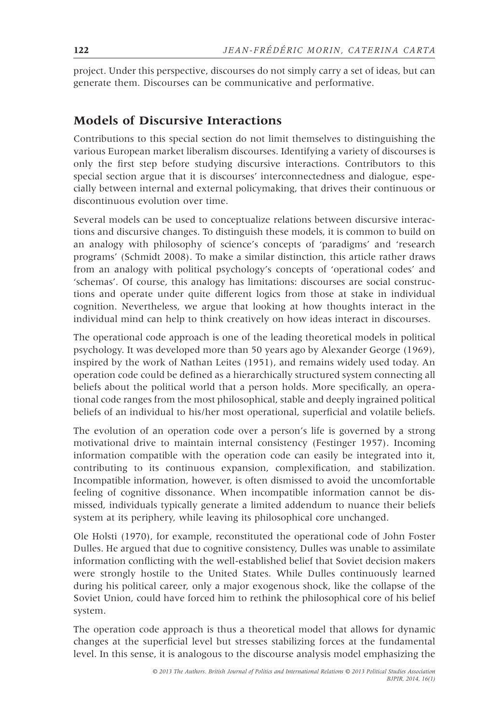project. Under this perspective, discourses do not simply carry a set of ideas, but can generate them. Discourses can be communicative and performative.

#### **Models of Discursive Interactions**

Contributions to this special section do not limit themselves to distinguishing the various European market liberalism discourses. Identifying a variety of discourses is only the first step before studying discursive interactions. Contributors to this special section argue that it is discourses' interconnectedness and dialogue, especially between internal and external policymaking, that drives their continuous or discontinuous evolution over time.

Several models can be used to conceptualize relations between discursive interactions and discursive changes. To distinguish these models, it is common to build on an analogy with philosophy of science's concepts of 'paradigms' and 'research programs' (Schmidt 2008). To make a similar distinction, this article rather draws from an analogy with political psychology's concepts of 'operational codes' and 'schemas'. Of course, this analogy has limitations: discourses are social constructions and operate under quite different logics from those at stake in individual cognition. Nevertheless, we argue that looking at how thoughts interact in the individual mind can help to think creatively on how ideas interact in discourses.

The operational code approach is one of the leading theoretical models in political psychology. It was developed more than 50 years ago by Alexander George (1969), inspired by the work of Nathan Leites (1951), and remains widely used today. An operation code could be defined as a hierarchically structured system connecting all beliefs about the political world that a person holds. More specifically, an operational code ranges from the most philosophical, stable and deeply ingrained political beliefs of an individual to his/her most operational, superficial and volatile beliefs.

The evolution of an operation code over a person's life is governed by a strong motivational drive to maintain internal consistency (Festinger 1957). Incoming information compatible with the operation code can easily be integrated into it, contributing to its continuous expansion, complexification, and stabilization. Incompatible information, however, is often dismissed to avoid the uncomfortable feeling of cognitive dissonance. When incompatible information cannot be dismissed, individuals typically generate a limited addendum to nuance their beliefs system at its periphery, while leaving its philosophical core unchanged.

Ole Holsti (1970), for example, reconstituted the operational code of John Foster Dulles. He argued that due to cognitive consistency, Dulles was unable to assimilate information conflicting with the well-established belief that Soviet decision makers were strongly hostile to the United States. While Dulles continuously learned during his political career, only a major exogenous shock, like the collapse of the Soviet Union, could have forced him to rethink the philosophical core of his belief system.

The operation code approach is thus a theoretical model that allows for dynamic changes at the superficial level but stresses stabilizing forces at the fundamental level. In this sense, it is analogous to the discourse analysis model emphasizing the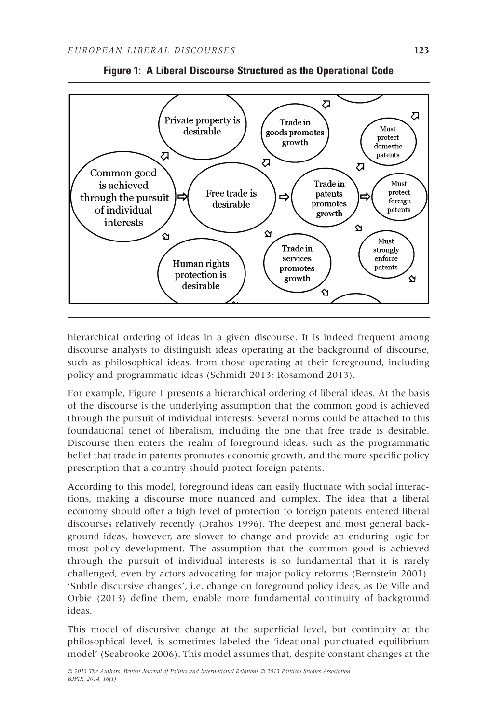

**Figure 1: A Liberal Discourse Structured as the Operational Code**

hierarchical ordering of ideas in a given discourse. It is indeed frequent among discourse analysts to distinguish ideas operating at the background of discourse, such as philosophical ideas, from those operating at their foreground, including policy and programmatic ideas (Schmidt 2013; Rosamond 2013).

For example, Figure 1 presents a hierarchical ordering of liberal ideas. At the basis of the discourse is the underlying assumption that the common good is achieved through the pursuit of individual interests. Several norms could be attached to this foundational tenet of liberalism, including the one that free trade is desirable. Discourse then enters the realm of foreground ideas, such as the programmatic belief that trade in patents promotes economic growth, and the more specific policy prescription that a country should protect foreign patents.

According to this model, foreground ideas can easily fluctuate with social interactions, making a discourse more nuanced and complex. The idea that a liberal economy should offer a high level of protection to foreign patents entered liberal discourses relatively recently (Drahos 1996). The deepest and most general background ideas, however, are slower to change and provide an enduring logic for most policy development. The assumption that the common good is achieved through the pursuit of individual interests is so fundamental that it is rarely challenged, even by actors advocating for major policy reforms (Bernstein 2001). 'Subtle discursive changes', i.e. change on foreground policy ideas, as De Ville and Orbie (2013) define them, enable more fundamental continuity of background ideas.

This model of discursive change at the superficial level, but continuity at the philosophical level, is sometimes labeled the 'ideational punctuated equilibrium model' (Seabrooke 2006). This model assumes that, despite constant changes at the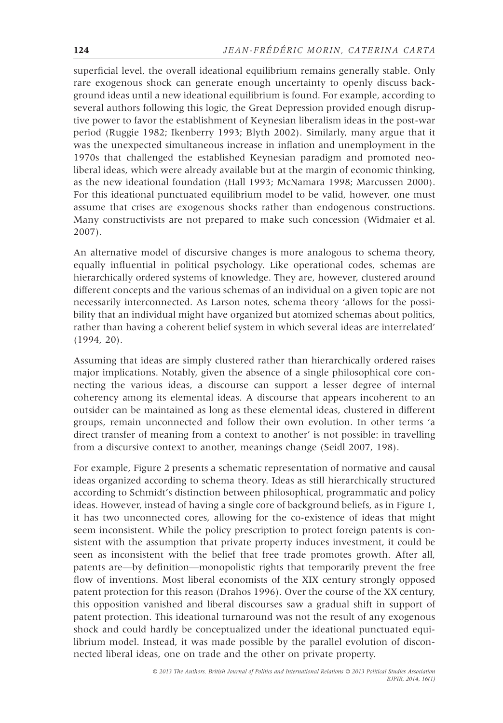superficial level, the overall ideational equilibrium remains generally stable. Only rare exogenous shock can generate enough uncertainty to openly discuss background ideas until a new ideational equilibrium is found. For example, according to several authors following this logic, the Great Depression provided enough disruptive power to favor the establishment of Keynesian liberalism ideas in the post-war period (Ruggie 1982; Ikenberry 1993; Blyth 2002). Similarly, many argue that it was the unexpected simultaneous increase in inflation and unemployment in the 1970s that challenged the established Keynesian paradigm and promoted neoliberal ideas, which were already available but at the margin of economic thinking, as the new ideational foundation (Hall 1993; McNamara 1998; Marcussen 2000). For this ideational punctuated equilibrium model to be valid, however, one must assume that crises are exogenous shocks rather than endogenous constructions. Many constructivists are not prepared to make such concession (Widmaier et al. 2007).

An alternative model of discursive changes is more analogous to schema theory, equally influential in political psychology. Like operational codes, schemas are hierarchically ordered systems of knowledge. They are, however, clustered around different concepts and the various schemas of an individual on a given topic are not necessarily interconnected. As Larson notes, schema theory 'allows for the possibility that an individual might have organized but atomized schemas about politics, rather than having a coherent belief system in which several ideas are interrelated' (1994, 20).

Assuming that ideas are simply clustered rather than hierarchically ordered raises major implications. Notably, given the absence of a single philosophical core connecting the various ideas, a discourse can support a lesser degree of internal coherency among its elemental ideas. A discourse that appears incoherent to an outsider can be maintained as long as these elemental ideas, clustered in different groups, remain unconnected and follow their own evolution. In other terms 'a direct transfer of meaning from a context to another' is not possible: in travelling from a discursive context to another, meanings change (Seidl 2007, 198).

For example, Figure 2 presents a schematic representation of normative and causal ideas organized according to schema theory. Ideas as still hierarchically structured according to Schmidt's distinction between philosophical, programmatic and policy ideas. However, instead of having a single core of background beliefs, as in Figure 1, it has two unconnected cores, allowing for the co-existence of ideas that might seem inconsistent. While the policy prescription to protect foreign patents is consistent with the assumption that private property induces investment, it could be seen as inconsistent with the belief that free trade promotes growth. After all, patents are—by definition—monopolistic rights that temporarily prevent the free flow of inventions. Most liberal economists of the XIX century strongly opposed patent protection for this reason (Drahos 1996). Over the course of the XX century, this opposition vanished and liberal discourses saw a gradual shift in support of patent protection. This ideational turnaround was not the result of any exogenous shock and could hardly be conceptualized under the ideational punctuated equilibrium model. Instead, it was made possible by the parallel evolution of disconnected liberal ideas, one on trade and the other on private property.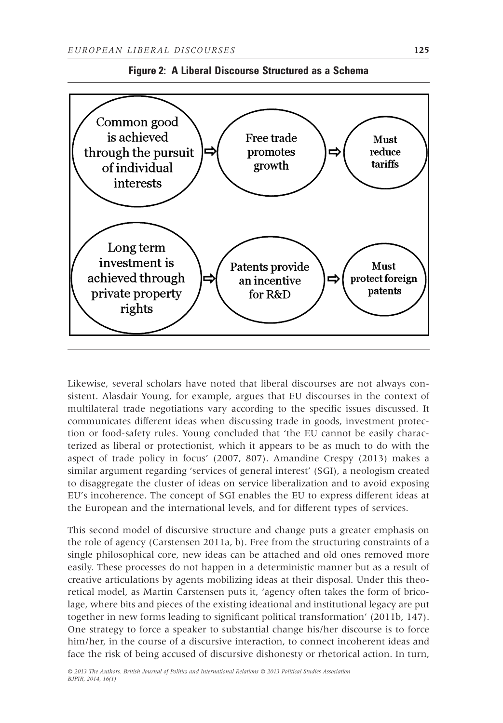

**Figure 2: A Liberal Discourse Structured as a Schema**

Likewise, several scholars have noted that liberal discourses are not always consistent. Alasdair Young, for example, argues that EU discourses in the context of multilateral trade negotiations vary according to the specific issues discussed. It communicates different ideas when discussing trade in goods, investment protection or food-safety rules. Young concluded that 'the EU cannot be easily characterized as liberal or protectionist, which it appears to be as much to do with the aspect of trade policy in focus' (2007, 807). Amandine Crespy (2013) makes a similar argument regarding 'services of general interest' (SGI), a neologism created to disaggregate the cluster of ideas on service liberalization and to avoid exposing EU's incoherence. The concept of SGI enables the EU to express different ideas at the European and the international levels, and for different types of services.

This second model of discursive structure and change puts a greater emphasis on the role of agency (Carstensen 2011a, b). Free from the structuring constraints of a single philosophical core, new ideas can be attached and old ones removed more easily. These processes do not happen in a deterministic manner but as a result of creative articulations by agents mobilizing ideas at their disposal. Under this theoretical model, as Martin Carstensen puts it, 'agency often takes the form of bricolage, where bits and pieces of the existing ideational and institutional legacy are put together in new forms leading to significant political transformation' (2011b, 147). One strategy to force a speaker to substantial change his/her discourse is to force him/her, in the course of a discursive interaction, to connect incoherent ideas and face the risk of being accused of discursive dishonesty or rhetorical action. In turn,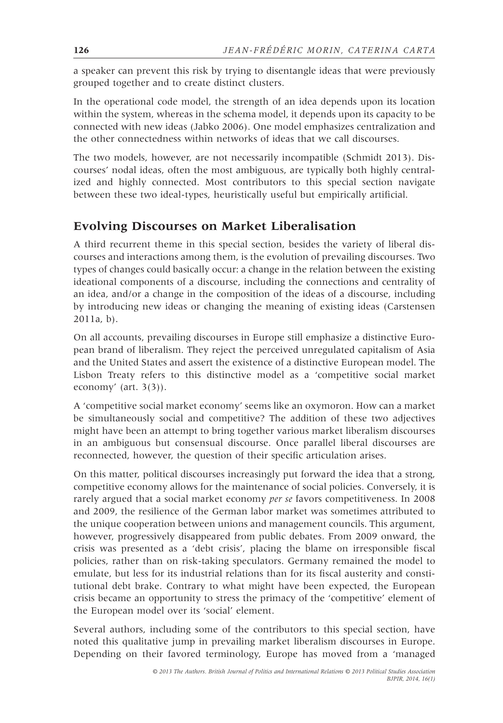a speaker can prevent this risk by trying to disentangle ideas that were previously grouped together and to create distinct clusters.

In the operational code model, the strength of an idea depends upon its location within the system, whereas in the schema model, it depends upon its capacity to be connected with new ideas (Jabko 2006). One model emphasizes centralization and the other connectedness within networks of ideas that we call discourses.

The two models, however, are not necessarily incompatible (Schmidt 2013). Discourses' nodal ideas, often the most ambiguous, are typically both highly centralized and highly connected. Most contributors to this special section navigate between these two ideal-types, heuristically useful but empirically artificial.

## **Evolving Discourses on Market Liberalisation**

A third recurrent theme in this special section, besides the variety of liberal discourses and interactions among them, is the evolution of prevailing discourses. Two types of changes could basically occur: a change in the relation between the existing ideational components of a discourse, including the connections and centrality of an idea, and/or a change in the composition of the ideas of a discourse, including by introducing new ideas or changing the meaning of existing ideas (Carstensen 2011a, b).

On all accounts, prevailing discourses in Europe still emphasize a distinctive European brand of liberalism. They reject the perceived unregulated capitalism of Asia and the United States and assert the existence of a distinctive European model. The Lisbon Treaty refers to this distinctive model as a 'competitive social market economy' (art. 3(3)).

A 'competitive social market economy' seems like an oxymoron. How can a market be simultaneously social and competitive? The addition of these two adjectives might have been an attempt to bring together various market liberalism discourses in an ambiguous but consensual discourse. Once parallel liberal discourses are reconnected, however, the question of their specific articulation arises.

On this matter, political discourses increasingly put forward the idea that a strong, competitive economy allows for the maintenance of social policies. Conversely, it is rarely argued that a social market economy *per se* favors competitiveness. In 2008 and 2009, the resilience of the German labor market was sometimes attributed to the unique cooperation between unions and management councils. This argument, however, progressively disappeared from public debates. From 2009 onward, the crisis was presented as a 'debt crisis', placing the blame on irresponsible fiscal policies, rather than on risk-taking speculators. Germany remained the model to emulate, but less for its industrial relations than for its fiscal austerity and constitutional debt brake. Contrary to what might have been expected, the European crisis became an opportunity to stress the primacy of the 'competitive' element of the European model over its 'social' element.

Several authors, including some of the contributors to this special section, have noted this qualitative jump in prevailing market liberalism discourses in Europe. Depending on their favored terminology, Europe has moved from a 'managed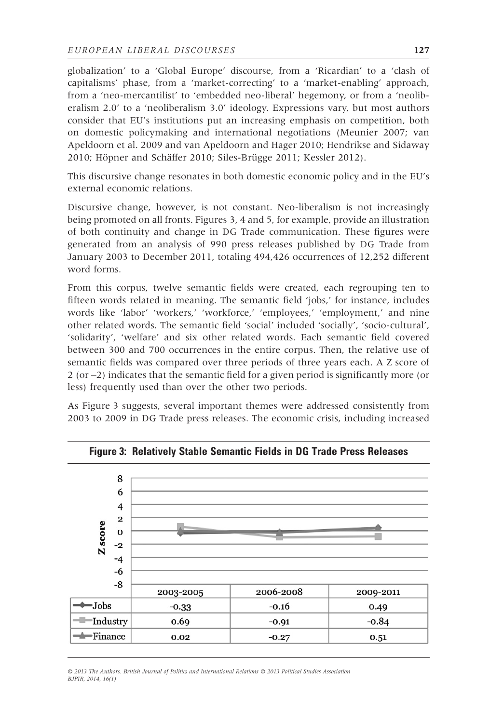globalization' to a 'Global Europe' discourse, from a 'Ricardian' to a 'clash of capitalisms' phase, from a 'market-correcting' to a 'market-enabling' approach, from a 'neo-mercantilist' to 'embedded neo-liberal' hegemony, or from a 'neoliberalism 2.0' to a 'neoliberalism 3.0' ideology. Expressions vary, but most authors consider that EU's institutions put an increasing emphasis on competition, both on domestic policymaking and international negotiations (Meunier 2007; van Apeldoorn et al. 2009 and van Apeldoorn and Hager 2010; Hendrikse and Sidaway 2010; Höpner and Schäffer 2010; Siles-Brügge 2011; Kessler 2012).

This discursive change resonates in both domestic economic policy and in the EU's external economic relations.

Discursive change, however, is not constant. Neo-liberalism is not increasingly being promoted on all fronts. Figures 3, 4 and 5, for example, provide an illustration of both continuity and change in DG Trade communication. These figures were generated from an analysis of 990 press releases published by DG Trade from January 2003 to December 2011, totaling 494,426 occurrences of 12,252 different word forms.

From this corpus, twelve semantic fields were created, each regrouping ten to fifteen words related in meaning. The semantic field 'jobs,' for instance, includes words like 'labor' 'workers,' 'workforce,' 'employees,' 'employment,' and nine other related words. The semantic field 'social' included 'socially', 'socio-cultural', 'solidarity', 'welfare' and six other related words. Each semantic field covered between 300 and 700 occurrences in the entire corpus. Then, the relative use of semantic fields was compared over three periods of three years each. A Z score of 2 (or -2) indicates that the semantic field for a given period is significantly more (or less) frequently used than over the other two periods.

As Figure 3 suggests, several important themes were addressed consistently from 2003 to 2009 in DG Trade press releases. The economic crisis, including increased



**Figure 3: Relatively Stable Semantic Fields in DG Trade Press Releases**

*<sup>© 2013</sup> The Authors. British Journal of Politics and International Relations © 2013 Political Studies Association BJPIR, 2014, 16(1)*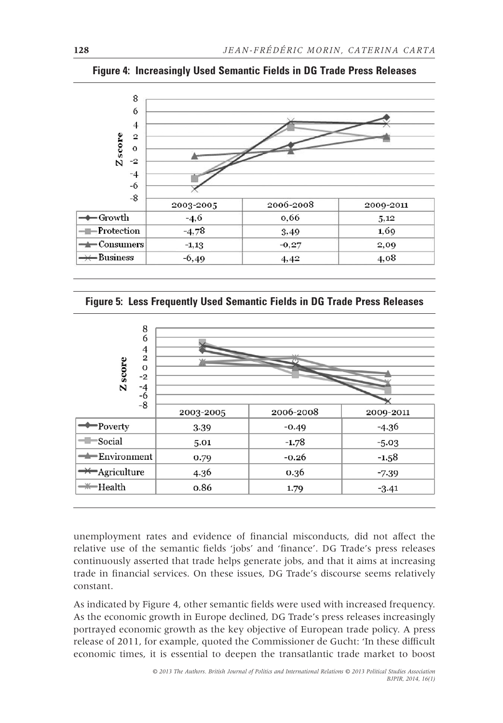**Figure 4: Increasingly Used Semantic Fields in DG Trade Press Releases**



**Figure 5: Less Frequently Used Semantic Fields in DG Trade Press Releases**



unemployment rates and evidence of financial misconducts, did not affect the relative use of the semantic fields 'jobs' and 'finance'. DG Trade's press releases continuously asserted that trade helps generate jobs, and that it aims at increasing trade in financial services. On these issues, DG Trade's discourse seems relatively constant.

As indicated by Figure 4, other semantic fields were used with increased frequency. As the economic growth in Europe declined, DG Trade's press releases increasingly portrayed economic growth as the key objective of European trade policy. A press release of 2011, for example, quoted the Commissioner de Gucht: 'In these difficult economic times, it is essential to deepen the transatlantic trade market to boost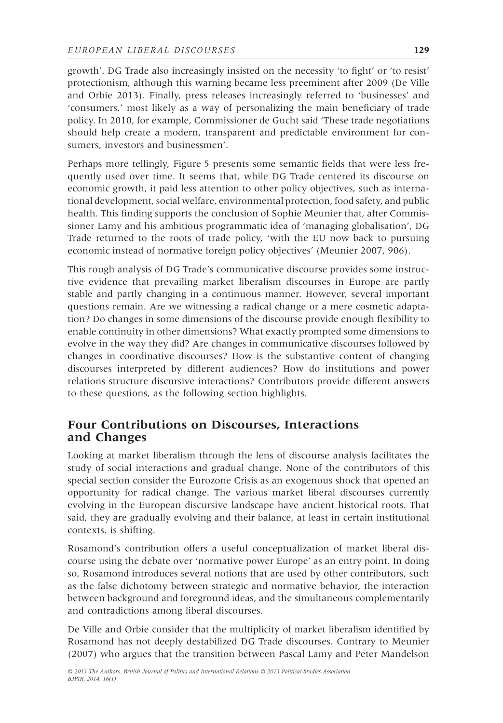growth'. DG Trade also increasingly insisted on the necessity 'to fight' or 'to resist' protectionism, although this warning became less preeminent after 2009 (De Ville and Orbie 2013). Finally, press releases increasingly referred to 'businesses' and 'consumers,' most likely as a way of personalizing the main beneficiary of trade policy. In 2010, for example, Commissioner de Gucht said 'These trade negotiations should help create a modern, transparent and predictable environment for consumers, investors and businessmen'.

Perhaps more tellingly, Figure 5 presents some semantic fields that were less frequently used over time. It seems that, while DG Trade centered its discourse on economic growth, it paid less attention to other policy objectives, such as international development, social welfare, environmental protection, food safety, and public health. This finding supports the conclusion of Sophie Meunier that, after Commissioner Lamy and his ambitious programmatic idea of 'managing globalisation', DG Trade returned to the roots of trade policy, 'with the EU now back to pursuing economic instead of normative foreign policy objectives' (Meunier 2007, 906).

This rough analysis of DG Trade's communicative discourse provides some instructive evidence that prevailing market liberalism discourses in Europe are partly stable and partly changing in a continuous manner. However, several important questions remain. Are we witnessing a radical change or a mere cosmetic adaptation? Do changes in some dimensions of the discourse provide enough flexibility to enable continuity in other dimensions? What exactly prompted some dimensions to evolve in the way they did? Are changes in communicative discourses followed by changes in coordinative discourses? How is the substantive content of changing discourses interpreted by different audiences? How do institutions and power relations structure discursive interactions? Contributors provide different answers to these questions, as the following section highlights.

## **Four Contributions on Discourses, Interactions and Changes**

Looking at market liberalism through the lens of discourse analysis facilitates the study of social interactions and gradual change. None of the contributors of this special section consider the Eurozone Crisis as an exogenous shock that opened an opportunity for radical change. The various market liberal discourses currently evolving in the European discursive landscape have ancient historical roots. That said, they are gradually evolving and their balance, at least in certain institutional contexts, is shifting.

Rosamond's contribution offers a useful conceptualization of market liberal discourse using the debate over 'normative power Europe' as an entry point. In doing so, Rosamond introduces several notions that are used by other contributors, such as the false dichotomy between strategic and normative behavior, the interaction between background and foreground ideas, and the simultaneous complementarily and contradictions among liberal discourses.

De Ville and Orbie consider that the multiplicity of market liberalism identified by Rosamond has not deeply destabilized DG Trade discourses. Contrary to Meunier (2007) who argues that the transition between Pascal Lamy and Peter Mandelson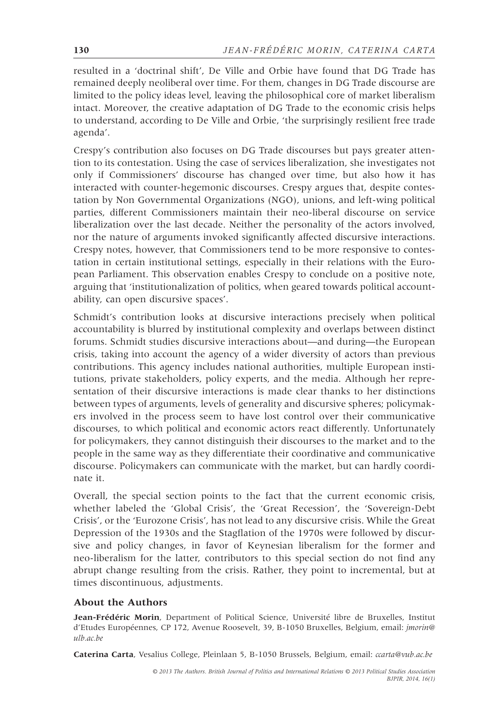resulted in a 'doctrinal shift', De Ville and Orbie have found that DG Trade has remained deeply neoliberal over time. For them, changes in DG Trade discourse are limited to the policy ideas level, leaving the philosophical core of market liberalism intact. Moreover, the creative adaptation of DG Trade to the economic crisis helps to understand, according to De Ville and Orbie, 'the surprisingly resilient free trade agenda'.

Crespy's contribution also focuses on DG Trade discourses but pays greater attention to its contestation. Using the case of services liberalization, she investigates not only if Commissioners' discourse has changed over time, but also how it has interacted with counter-hegemonic discourses. Crespy argues that, despite contestation by Non Governmental Organizations (NGO), unions, and left-wing political parties, different Commissioners maintain their neo-liberal discourse on service liberalization over the last decade. Neither the personality of the actors involved, nor the nature of arguments invoked significantly affected discursive interactions. Crespy notes, however, that Commissioners tend to be more responsive to contestation in certain institutional settings, especially in their relations with the European Parliament. This observation enables Crespy to conclude on a positive note, arguing that 'institutionalization of politics, when geared towards political accountability, can open discursive spaces'.

Schmidt's contribution looks at discursive interactions precisely when political accountability is blurred by institutional complexity and overlaps between distinct forums. Schmidt studies discursive interactions about—and during—the European crisis, taking into account the agency of a wider diversity of actors than previous contributions. This agency includes national authorities, multiple European institutions, private stakeholders, policy experts, and the media. Although her representation of their discursive interactions is made clear thanks to her distinctions between types of arguments, levels of generality and discursive spheres; policymakers involved in the process seem to have lost control over their communicative discourses, to which political and economic actors react differently. Unfortunately for policymakers, they cannot distinguish their discourses to the market and to the people in the same way as they differentiate their coordinative and communicative discourse. Policymakers can communicate with the market, but can hardly coordinate it.

Overall, the special section points to the fact that the current economic crisis, whether labeled the 'Global Crisis', the 'Great Recession', the 'Sovereign-Debt Crisis', or the 'Eurozone Crisis', has not lead to any discursive crisis. While the Great Depression of the 1930s and the Stagflation of the 1970s were followed by discursive and policy changes, in favor of Keynesian liberalism for the former and neo-liberalism for the latter, contributors to this special section do not find any abrupt change resulting from the crisis. Rather, they point to incremental, but at times discontinuous, adjustments.

#### **About the Authors**

**Jean-Frédéric Morin**, Department of Political Science, Université libre de Bruxelles, Institut d'Etudes Européennes, CP 172, Avenue Roosevelt, 39, B-1050 Bruxelles, Belgium, email: *jmorin@ ulb.ac.be*

**Caterina Carta**, Vesalius College, Pleinlaan 5, B-1050 Brussels, Belgium, email: *ccarta@vub.ac.be*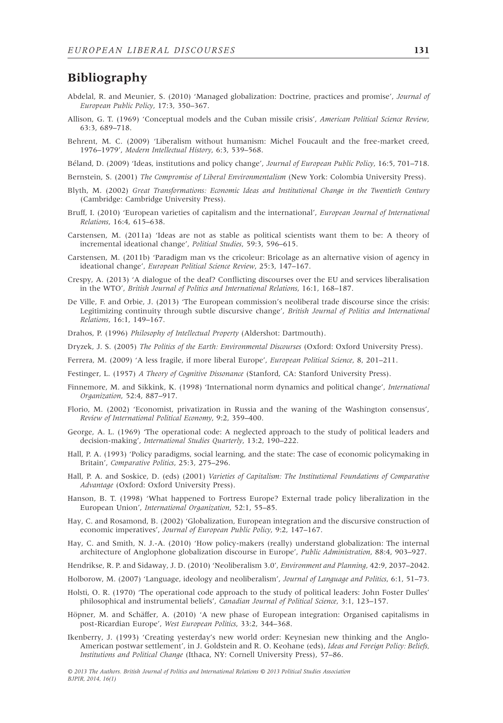#### **Bibliography**

- Abdelal, R. and Meunier, S. (2010) 'Managed globalization: Doctrine, practices and promise', *Journal of European Public Policy*, 17:3, 350–367.
- Allison, G. T. (1969) 'Conceptual models and the Cuban missile crisis', *American Political Science Review*, 63:3, 689–718.
- Behrent, M. C. (2009) 'Liberalism without humanism: Michel Foucault and the free-market creed, 1976–1979', *Modern Intellectual History*, 6:3, 539–568.
- Béland, D. (2009) 'Ideas, institutions and policy change', *Journal of European Public Policy*, 16:5, 701–718.
- Bernstein, S. (2001) *The Compromise of Liberal Environmentalism* (New York: Colombia University Press).
- Blyth, M. (2002) *Great Transformations: Economic Ideas and Institutional Change in the Twentieth Century* (Cambridge: Cambridge University Press).
- Bruff, I. (2010) 'European varieties of capitalism and the international', *European Journal of International Relations*, 16:4, 615–638.
- Carstensen, M. (2011a) 'Ideas are not as stable as political scientists want them to be: A theory of incremental ideational change', *Political Studies*, 59:3, 596–615.
- Carstensen, M. (2011b) 'Paradigm man vs the cricoleur: Bricolage as an alternative vision of agency in ideational change', *European Political Science Review*, 25:3, 147–167.
- Crespy, A. (2013) 'A dialogue of the deaf? Conflicting discourses over the EU and services liberalisation in the WTO', *British Journal of Politics and International Relations*, 16:1, 168–187.
- De Ville, F. and Orbie, J. (2013) 'The European commission's neoliberal trade discourse since the crisis: Legitimizing continuity through subtle discursive change', *British Journal of Politics and International Relations*, 16:1, 149–167.
- Drahos, P. (1996) *Philosophy of Intellectual Property* (Aldershot: Dartmouth).
- Dryzek, J. S. (2005) *The Politics of the Earth: Environmental Discourses* (Oxford: Oxford University Press).
- Ferrera, M. (2009) 'A less fragile, if more liberal Europe', *European Political Science*, 8, 201–211.
- Festinger, L. (1957) *A Theory of Cognitive Dissonance* (Stanford, CA: Stanford University Press).
- Finnemore, M. and Sikkink, K. (1998) 'International norm dynamics and political change', *International Organization*, 52:4, 887–917.
- Florio, M. (2002) 'Economist, privatization in Russia and the waning of the Washington consensus', *Review of International Political Economy*, 9:2, 359–400.
- George, A. L. (1969) 'The operational code: A neglected approach to the study of political leaders and decision-making', *International Studies Quarterly*, 13:2, 190–222.
- Hall, P. A. (1993) 'Policy paradigms, social learning, and the state: The case of economic policymaking in Britain', *Comparative Politics*, 25:3, 275–296.
- Hall, P. A. and Soskice, D. (eds) (2001) *Varieties of Capitalism: The Institutional Foundations of Comparative Advantage* (Oxford: Oxford University Press).
- Hanson, B. T. (1998) 'What happened to Fortress Europe? External trade policy liberalization in the European Union', *International Organization*, 52:1, 55–85.
- Hay, C. and Rosamond, B. (2002) 'Globalization, European integration and the discursive construction of economic imperatives', *Journal of European Public Policy*, 9:2, 147–167.
- Hay, C. and Smith, N. J.-A. (2010) 'How policy-makers (really) understand globalization: The internal architecture of Anglophone globalization discourse in Europe', *Public Administration*, 88:4, 903–927.
- Hendrikse, R. P. and Sidaway, J. D. (2010) 'Neoliberalism 3.0', *Environment and Planning*, 42:9, 2037–2042.
- Holborow, M. (2007) 'Language, ideology and neoliberalism', *Journal of Language and Politics*, 6:1, 51–73.
- Holsti, O. R. (1970) 'The operational code approach to the study of political leaders: John Foster Dulles' philosophical and instrumental beliefs', *Canadian Journal of Political Science*, 3:1, 123–157.
- Höpner, M. and Schäffer, A. (2010) 'A new phase of European integration: Organised capitalisms in post-Ricardian Europe', *West European Politics*, 33:2, 344–368.
- Ikenberry, J. (1993) 'Creating yesterday's new world order: Keynesian new thinking and the Anglo-American postwar settlement', in J. Goldstein and R. O. Keohane (eds), *Ideas and Foreign Policy: Beliefs, Institutions and Political Change* (Ithaca, NY: Cornell University Press), 57–86.